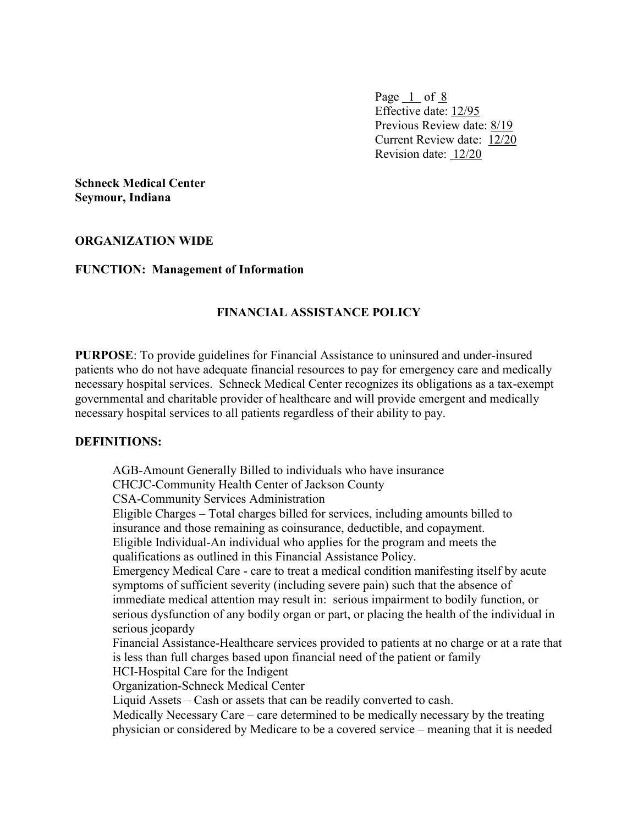Page  $1$  of  $8$ Effective date: 12/95 Previous Review date: 8/19 Current Review date: 12/20 Revision date: 12/20

**Schneck Medical Center Seymour, Indiana**

#### **ORGANIZATION WIDE**

#### **FUNCTION: Management of Information**

## **FINANCIAL ASSISTANCE POLICY**

**PURPOSE**: To provide guidelines for Financial Assistance to uninsured and under-insured patients who do not have adequate financial resources to pay for emergency care and medically necessary hospital services. Schneck Medical Center recognizes its obligations as a tax-exempt governmental and charitable provider of healthcare and will provide emergent and medically necessary hospital services to all patients regardless of their ability to pay.

#### **DEFINITIONS:**

AGB-Amount Generally Billed to individuals who have insurance CHCJC-Community Health Center of Jackson County CSA-Community Services Administration Eligible Charges – Total charges billed for services, including amounts billed to insurance and those remaining as coinsurance, deductible, and copayment. Eligible Individual-An individual who applies for the program and meets the qualifications as outlined in this Financial Assistance Policy. Emergency Medical Care - care to treat a medical condition manifesting itself by acute symptoms of sufficient severity (including severe pain) such that the absence of immediate medical attention may result in: serious impairment to bodily function, or serious dysfunction of any bodily organ or part, or placing the health of the individual in serious jeopardy Financial Assistance-Healthcare services provided to patients at no charge or at a rate that is less than full charges based upon financial need of the patient or family HCI-Hospital Care for the Indigent Organization-Schneck Medical Center Liquid Assets – Cash or assets that can be readily converted to cash. Medically Necessary Care – care determined to be medically necessary by the treating physician or considered by Medicare to be a covered service – meaning that it is needed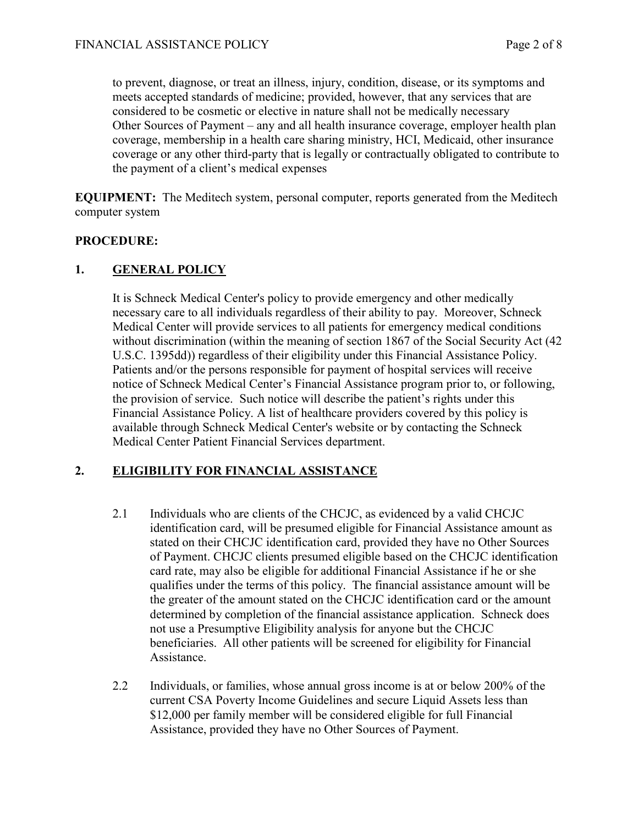to prevent, diagnose, or treat an illness, injury, condition, disease, or its symptoms and meets accepted standards of medicine; provided, however, that any services that are considered to be cosmetic or elective in nature shall not be medically necessary Other Sources of Payment – any and all health insurance coverage, employer health plan coverage, membership in a health care sharing ministry, HCI, Medicaid, other insurance coverage or any other third-party that is legally or contractually obligated to contribute to the payment of a client's medical expenses

**EQUIPMENT:** The Meditech system, personal computer, reports generated from the Meditech computer system

## **PROCEDURE:**

## **1. GENERAL POLICY**

It is Schneck Medical Center's policy to provide emergency and other medically necessary care to all individuals regardless of their ability to pay. Moreover, Schneck Medical Center will provide services to all patients for emergency medical conditions without discrimination (within the meaning of section 1867 of the Social Security Act (42 U.S.C. 1395dd)) regardless of their eligibility under this Financial Assistance Policy. Patients and/or the persons responsible for payment of hospital services will receive notice of Schneck Medical Center's Financial Assistance program prior to, or following, the provision of service. Such notice will describe the patient's rights under this Financial Assistance Policy. A list of healthcare providers covered by this policy is available through Schneck Medical Center's website or by contacting the Schneck Medical Center Patient Financial Services department.

## **2. ELIGIBILITY FOR FINANCIAL ASSISTANCE**

- 2.1 Individuals who are clients of the CHCJC, as evidenced by a valid CHCJC identification card, will be presumed eligible for Financial Assistance amount as stated on their CHCJC identification card, provided they have no Other Sources of Payment. CHCJC clients presumed eligible based on the CHCJC identification card rate, may also be eligible for additional Financial Assistance if he or she qualifies under the terms of this policy. The financial assistance amount will be the greater of the amount stated on the CHCJC identification card or the amount determined by completion of the financial assistance application. Schneck does not use a Presumptive Eligibility analysis for anyone but the CHCJC beneficiaries. All other patients will be screened for eligibility for Financial Assistance.
- 2.2 Individuals, or families, whose annual gross income is at or below 200% of the current CSA Poverty Income Guidelines and secure Liquid Assets less than \$12,000 per family member will be considered eligible for full Financial Assistance, provided they have no Other Sources of Payment.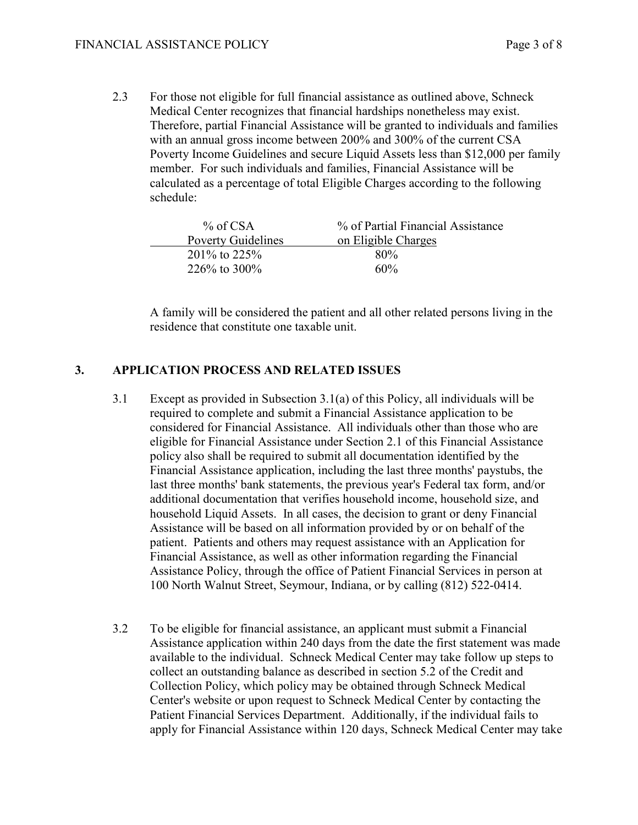2.3 For those not eligible for full financial assistance as outlined above, Schneck Medical Center recognizes that financial hardships nonetheless may exist. Therefore, partial Financial Assistance will be granted to individuals and families with an annual gross income between 200% and 300% of the current CSA Poverty Income Guidelines and secure Liquid Assets less than \$12,000 per family member. For such individuals and families, Financial Assistance will be calculated as a percentage of total Eligible Charges according to the following schedule:

| $%$ of CSA                | % of Partial Financial Assistance |  |
|---------------------------|-----------------------------------|--|
| <b>Poverty Guidelines</b> | on Eligible Charges               |  |
| $201\%$ to 225%           | 80%                               |  |
| $226\%$ to 300\%          | 60%                               |  |

A family will be considered the patient and all other related persons living in the residence that constitute one taxable unit.

## **3. APPLICATION PROCESS AND RELATED ISSUES**

- 3.1 Except as provided in Subsection 3.1(a) of this Policy, all individuals will be required to complete and submit a Financial Assistance application to be considered for Financial Assistance. All individuals other than those who are eligible for Financial Assistance under Section 2.1 of this Financial Assistance policy also shall be required to submit all documentation identified by the Financial Assistance application, including the last three months' paystubs, the last three months' bank statements, the previous year's Federal tax form, and/or additional documentation that verifies household income, household size, and household Liquid Assets. In all cases, the decision to grant or deny Financial Assistance will be based on all information provided by or on behalf of the patient. Patients and others may request assistance with an Application for Financial Assistance, as well as other information regarding the Financial Assistance Policy, through the office of Patient Financial Services in person at 100 North Walnut Street, Seymour, Indiana, or by calling (812) 522-0414.
- 3.2 To be eligible for financial assistance, an applicant must submit a Financial Assistance application within 240 days from the date the first statement was made available to the individual. Schneck Medical Center may take follow up steps to collect an outstanding balance as described in section 5.2 of the Credit and Collection Policy, which policy may be obtained through Schneck Medical Center's website or upon request to Schneck Medical Center by contacting the Patient Financial Services Department. Additionally, if the individual fails to apply for Financial Assistance within 120 days, Schneck Medical Center may take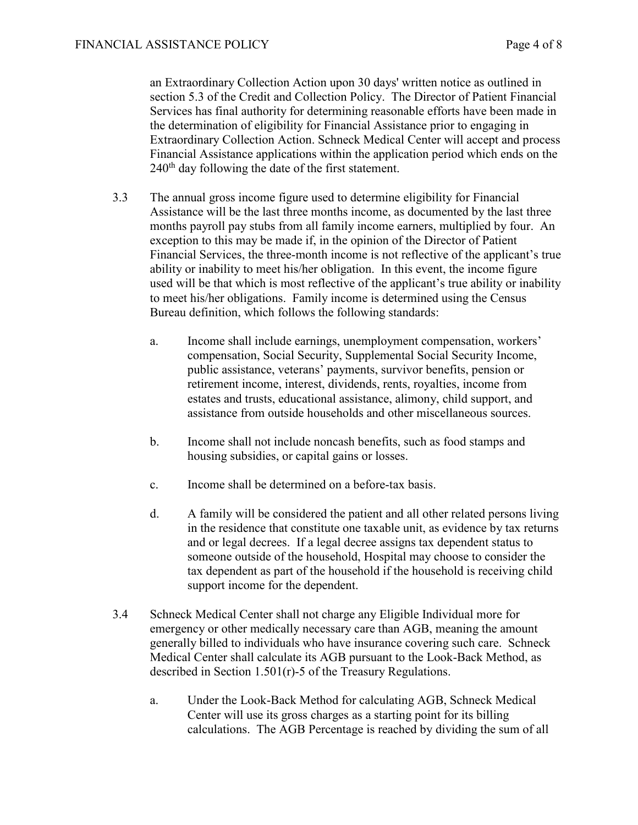an Extraordinary Collection Action upon 30 days' written notice as outlined in section 5.3 of the Credit and Collection Policy. The Director of Patient Financial Services has final authority for determining reasonable efforts have been made in the determination of eligibility for Financial Assistance prior to engaging in Extraordinary Collection Action. Schneck Medical Center will accept and process Financial Assistance applications within the application period which ends on the  $240<sup>th</sup>$  day following the date of the first statement.

- 3.3 The annual gross income figure used to determine eligibility for Financial Assistance will be the last three months income, as documented by the last three months payroll pay stubs from all family income earners, multiplied by four. An exception to this may be made if, in the opinion of the Director of Patient Financial Services, the three-month income is not reflective of the applicant's true ability or inability to meet his/her obligation. In this event, the income figure used will be that which is most reflective of the applicant's true ability or inability to meet his/her obligations. Family income is determined using the Census Bureau definition, which follows the following standards:
	- a. Income shall include earnings, unemployment compensation, workers' compensation, Social Security, Supplemental Social Security Income, public assistance, veterans' payments, survivor benefits, pension or retirement income, interest, dividends, rents, royalties, income from estates and trusts, educational assistance, alimony, child support, and assistance from outside households and other miscellaneous sources.
	- b. Income shall not include noncash benefits, such as food stamps and housing subsidies, or capital gains or losses.
	- c. Income shall be determined on a before-tax basis.
	- d. A family will be considered the patient and all other related persons living in the residence that constitute one taxable unit, as evidence by tax returns and or legal decrees. If a legal decree assigns tax dependent status to someone outside of the household, Hospital may choose to consider the tax dependent as part of the household if the household is receiving child support income for the dependent.
- 3.4 Schneck Medical Center shall not charge any Eligible Individual more for emergency or other medically necessary care than AGB, meaning the amount generally billed to individuals who have insurance covering such care. Schneck Medical Center shall calculate its AGB pursuant to the Look-Back Method, as described in Section 1.501(r)-5 of the Treasury Regulations.
	- a. Under the Look-Back Method for calculating AGB, Schneck Medical Center will use its gross charges as a starting point for its billing calculations. The AGB Percentage is reached by dividing the sum of all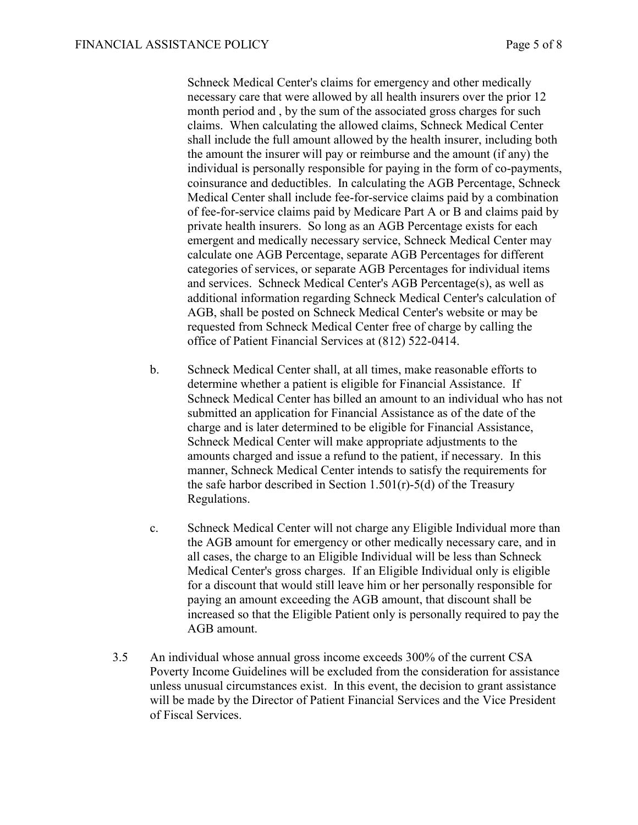Schneck Medical Center's claims for emergency and other medically necessary care that were allowed by all health insurers over the prior 12 month period and , by the sum of the associated gross charges for such claims. When calculating the allowed claims, Schneck Medical Center shall include the full amount allowed by the health insurer, including both the amount the insurer will pay or reimburse and the amount (if any) the individual is personally responsible for paying in the form of co-payments, coinsurance and deductibles. In calculating the AGB Percentage, Schneck Medical Center shall include fee-for-service claims paid by a combination of fee-for-service claims paid by Medicare Part A or B and claims paid by private health insurers. So long as an AGB Percentage exists for each emergent and medically necessary service, Schneck Medical Center may calculate one AGB Percentage, separate AGB Percentages for different categories of services, or separate AGB Percentages for individual items and services. Schneck Medical Center's AGB Percentage(s), as well as additional information regarding Schneck Medical Center's calculation of AGB, shall be posted on Schneck Medical Center's website or may be requested from Schneck Medical Center free of charge by calling the office of Patient Financial Services at (812) 522-0414.

- b. Schneck Medical Center shall, at all times, make reasonable efforts to determine whether a patient is eligible for Financial Assistance. If Schneck Medical Center has billed an amount to an individual who has not submitted an application for Financial Assistance as of the date of the charge and is later determined to be eligible for Financial Assistance, Schneck Medical Center will make appropriate adjustments to the amounts charged and issue a refund to the patient, if necessary. In this manner, Schneck Medical Center intends to satisfy the requirements for the safe harbor described in Section 1.501(r)-5(d) of the Treasury Regulations.
- c. Schneck Medical Center will not charge any Eligible Individual more than the AGB amount for emergency or other medically necessary care, and in all cases, the charge to an Eligible Individual will be less than Schneck Medical Center's gross charges. If an Eligible Individual only is eligible for a discount that would still leave him or her personally responsible for paying an amount exceeding the AGB amount, that discount shall be increased so that the Eligible Patient only is personally required to pay the AGB amount.
- 3.5 An individual whose annual gross income exceeds 300% of the current CSA Poverty Income Guidelines will be excluded from the consideration for assistance unless unusual circumstances exist. In this event, the decision to grant assistance will be made by the Director of Patient Financial Services and the Vice President of Fiscal Services.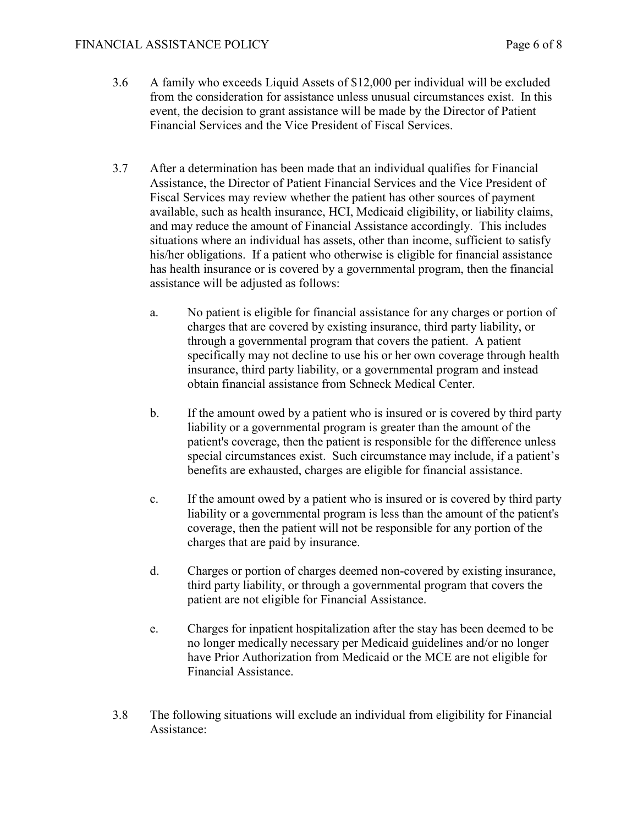#### FINANCIAL ASSISTANCE POLICY Page 6 of 8

- 3.6 A family who exceeds Liquid Assets of \$12,000 per individual will be excluded from the consideration for assistance unless unusual circumstances exist. In this event, the decision to grant assistance will be made by the Director of Patient Financial Services and the Vice President of Fiscal Services.
- 3.7 After a determination has been made that an individual qualifies for Financial Assistance, the Director of Patient Financial Services and the Vice President of Fiscal Services may review whether the patient has other sources of payment available, such as health insurance, HCI, Medicaid eligibility, or liability claims, and may reduce the amount of Financial Assistance accordingly. This includes situations where an individual has assets, other than income, sufficient to satisfy his/her obligations. If a patient who otherwise is eligible for financial assistance has health insurance or is covered by a governmental program, then the financial assistance will be adjusted as follows:
	- a. No patient is eligible for financial assistance for any charges or portion of charges that are covered by existing insurance, third party liability, or through a governmental program that covers the patient. A patient specifically may not decline to use his or her own coverage through health insurance, third party liability, or a governmental program and instead obtain financial assistance from Schneck Medical Center.
	- b. If the amount owed by a patient who is insured or is covered by third party liability or a governmental program is greater than the amount of the patient's coverage, then the patient is responsible for the difference unless special circumstances exist. Such circumstance may include, if a patient's benefits are exhausted, charges are eligible for financial assistance.
	- c. If the amount owed by a patient who is insured or is covered by third party liability or a governmental program is less than the amount of the patient's coverage, then the patient will not be responsible for any portion of the charges that are paid by insurance.
	- d. Charges or portion of charges deemed non-covered by existing insurance, third party liability, or through a governmental program that covers the patient are not eligible for Financial Assistance.
	- e. Charges for inpatient hospitalization after the stay has been deemed to be no longer medically necessary per Medicaid guidelines and/or no longer have Prior Authorization from Medicaid or the MCE are not eligible for Financial Assistance.
- 3.8 The following situations will exclude an individual from eligibility for Financial Assistance: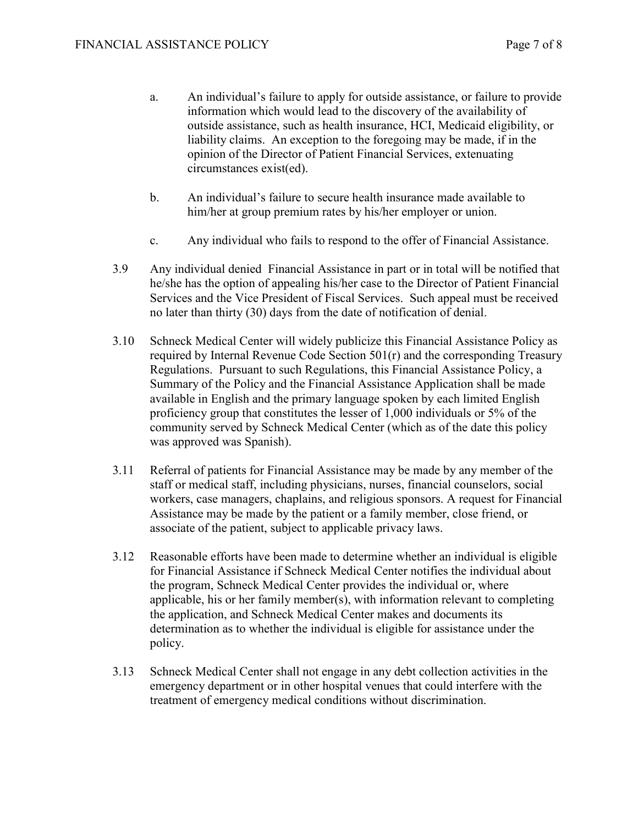- a. An individual's failure to apply for outside assistance, or failure to provide information which would lead to the discovery of the availability of outside assistance, such as health insurance, HCI, Medicaid eligibility, or liability claims. An exception to the foregoing may be made, if in the opinion of the Director of Patient Financial Services, extenuating circumstances exist(ed).
- b. An individual's failure to secure health insurance made available to him/her at group premium rates by his/her employer or union.
- c. Any individual who fails to respond to the offer of Financial Assistance.
- 3.9 Any individual denied Financial Assistance in part or in total will be notified that he/she has the option of appealing his/her case to the Director of Patient Financial Services and the Vice President of Fiscal Services. Such appeal must be received no later than thirty (30) days from the date of notification of denial.
- 3.10 Schneck Medical Center will widely publicize this Financial Assistance Policy as required by Internal Revenue Code Section 501(r) and the corresponding Treasury Regulations. Pursuant to such Regulations, this Financial Assistance Policy, a Summary of the Policy and the Financial Assistance Application shall be made available in English and the primary language spoken by each limited English proficiency group that constitutes the lesser of 1,000 individuals or 5% of the community served by Schneck Medical Center (which as of the date this policy was approved was Spanish).
- 3.11 Referral of patients for Financial Assistance may be made by any member of the staff or medical staff, including physicians, nurses, financial counselors, social workers, case managers, chaplains, and religious sponsors. A request for Financial Assistance may be made by the patient or a family member, close friend, or associate of the patient, subject to applicable privacy laws.
- 3.12 Reasonable efforts have been made to determine whether an individual is eligible for Financial Assistance if Schneck Medical Center notifies the individual about the program, Schneck Medical Center provides the individual or, where applicable, his or her family member(s), with information relevant to completing the application, and Schneck Medical Center makes and documents its determination as to whether the individual is eligible for assistance under the policy.
- 3.13 Schneck Medical Center shall not engage in any debt collection activities in the emergency department or in other hospital venues that could interfere with the treatment of emergency medical conditions without discrimination.